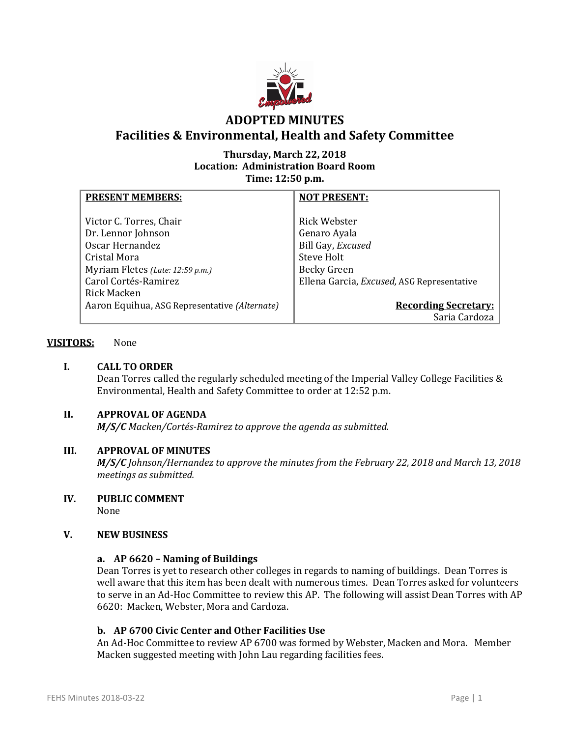

## **Thursday, March 22, 2018 Location: Administration Board Room Time: 12:50 p.m.**

| <b>PRESENT MEMBERS:</b>                       | <b>NOT PRESENT:</b>                        |
|-----------------------------------------------|--------------------------------------------|
|                                               |                                            |
| Victor C. Torres, Chair                       | Rick Webster                               |
| Dr. Lennor Johnson                            | Genaro Ayala                               |
| Oscar Hernandez                               | Bill Gay, Excused                          |
| Cristal Mora                                  | Steve Holt                                 |
| Myriam Fletes (Late: 12:59 p.m.)              | <b>Becky Green</b>                         |
| Carol Cortés-Ramirez                          | Ellena Garcia, Excused, ASG Representative |
| Rick Macken                                   |                                            |
| Aaron Equihua, ASG Representative (Alternate) | <b>Recording Secretary:</b>                |
|                                               | Saria Cardoza                              |

## **VISITORS:** None

## **I. CALL TO ORDER**

Dean Torres called the regularly scheduled meeting of the Imperial Valley College Facilities & Environmental, Health and Safety Committee to order at 12:52 p.m.

## **II. APPROVAL OF AGENDA**

*M/S/C Macken/Cortés-Ramirez to approve the agenda as submitted.*

### **III. APPROVAL OF MINUTES**

*M/S/C Johnson/Hernandez to approve the minutes from the February 22, 2018 and March 13, 2018 meetings as submitted.*

# **IV. PUBLIC COMMENT**

None

### **V. NEW BUSINESS**

### **a. AP 6620 – Naming of Buildings**

Dean Torres is yet to research other colleges in regards to naming of buildings. Dean Torres is well aware that this item has been dealt with numerous times. Dean Torres asked for volunteers to serve in an Ad-Hoc Committee to review this AP. The following will assist Dean Torres with AP 6620: Macken, Webster, Mora and Cardoza.

### **b. AP 6700 Civic Center and Other Facilities Use**

An Ad-Hoc Committee to review AP 6700 was formed by Webster, Macken and Mora. Member Macken suggested meeting with John Lau regarding facilities fees.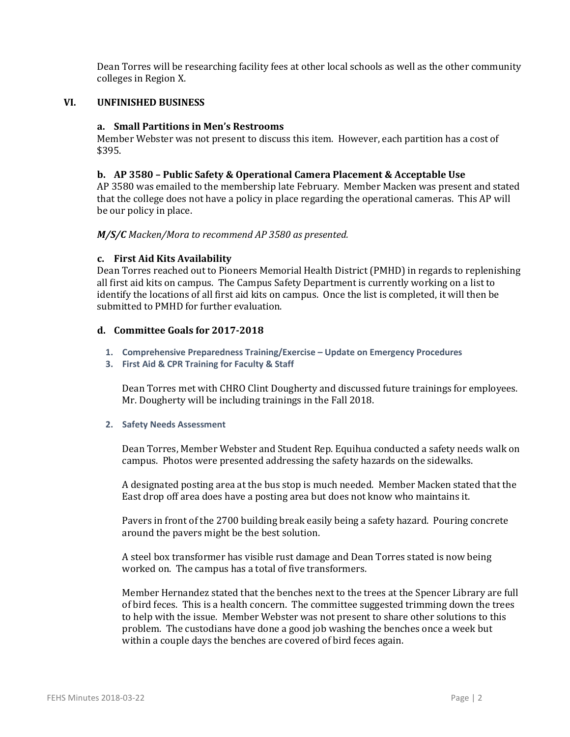Dean Torres will be researching facility fees at other local schools as well as the other community colleges in Region X.

## **VI. UNFINISHED BUSINESS**

#### **a. Small Partitions in Men's Restrooms**

Member Webster was not present to discuss this item. However, each partition has a cost of \$395.

### **b. AP 3580 – Public Safety & Operational Camera Placement & Acceptable Use**

AP 3580 was emailed to the membership late February. Member Macken was present and stated that the college does not have a policy in place regarding the operational cameras. This AP will be our policy in place.

#### *M/S/C Macken/Mora to recommend AP 3580 as presented.*

#### **c. First Aid Kits Availability**

Dean Torres reached out to Pioneers Memorial Health District (PMHD) in regards to replenishing all first aid kits on campus. The Campus Safety Department is currently working on a list to identify the locations of all first aid kits on campus. Once the list is completed, it will then be submitted to PMHD for further evaluation.

### **d. Committee Goals for 2017-2018**

- **1. Comprehensive Preparedness Training/Exercise – Update on Emergency Procedures**
- **3. First Aid & CPR Training for Faculty & Staff**

Dean Torres met with CHRO Clint Dougherty and discussed future trainings for employees. Mr. Dougherty will be including trainings in the Fall 2018.

#### **2. Safety Needs Assessment**

Dean Torres, Member Webster and Student Rep. Equihua conducted a safety needs walk on campus. Photos were presented addressing the safety hazards on the sidewalks.

A designated posting area at the bus stop is much needed. Member Macken stated that the East drop off area does have a posting area but does not know who maintains it.

Pavers in front of the 2700 building break easily being a safety hazard. Pouring concrete around the pavers might be the best solution.

A steel box transformer has visible rust damage and Dean Torres stated is now being worked on. The campus has a total of five transformers.

Member Hernandez stated that the benches next to the trees at the Spencer Library are full of bird feces. This is a health concern. The committee suggested trimming down the trees to help with the issue. Member Webster was not present to share other solutions to this problem. The custodians have done a good job washing the benches once a week but within a couple days the benches are covered of bird feces again.